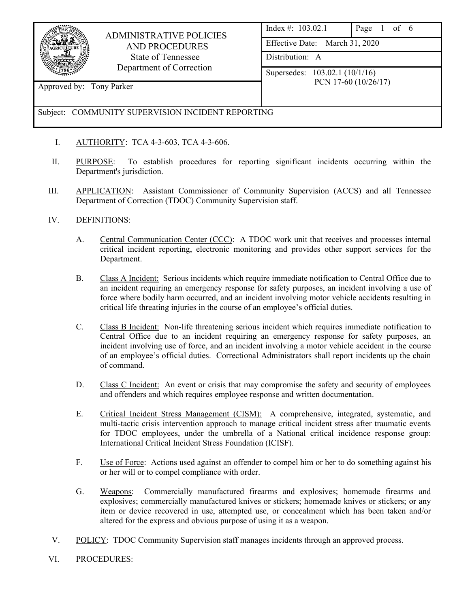

## ADMINISTRATIVE POLICIES AND PROCEDURES State of Tennessee Department of Correction

| Index #: $103.02.1$ | Page 1 of 6 |  |  |  |
|---------------------|-------------|--|--|--|
|---------------------|-------------|--|--|--|

Effective Date: March 31, 2020

Distribution: A

Supersedes: 103.02.1 (10/1/16) PCN 17-60 (10/26/17)

Approved by: Tony Parker

# Subject: COMMUNITY SUPERVISION INCIDENT REPORTING

- I. AUTHORITY: TCA 4-3-603, TCA 4-3-606.
- II. PURPOSE: To establish procedures for reporting significant incidents occurring within the Department's jurisdiction.
- III. APPLICATION: Assistant Commissioner of Community Supervision (ACCS) and all Tennessee Department of Correction (TDOC) Community Supervision staff.

## IV. DEFINITIONS:

- A. Central Communication Center (CCC): A TDOC work unit that receives and processes internal critical incident reporting, electronic monitoring and provides other support services for the Department.
- B. Class A Incident: Serious incidents which require immediate notification to Central Office due to an incident requiring an emergency response for safety purposes, an incident involving a use of force where bodily harm occurred, and an incident involving motor vehicle accidents resulting in critical life threating injuries in the course of an employee's official duties.
- C. Class B Incident: Non-life threatening serious incident which requires immediate notification to Central Office due to an incident requiring an emergency response for safety purposes, an incident involving use of force, and an incident involving a motor vehicle accident in the course of an employee's official duties. Correctional Administrators shall report incidents up the chain of command.
- D. Class C Incident: An event or crisis that may compromise the safety and security of employees and offenders and which requires employee response and written documentation.
- E. Critical Incident Stress Management (CISM): A comprehensive, integrated, systematic, and multi-tactic crisis intervention approach to manage critical incident stress after traumatic events for TDOC employees, under the umbrella of a National critical incidence response group: International Critical Incident Stress Foundation (ICISF).
- F. Use of Force: Actions used against an offender to compel him or her to do something against his or her will or to compel compliance with order.
- G. Weapons: Commercially manufactured firearms and explosives; homemade firearms and explosives; commercially manufactured knives or stickers; homemade knives or stickers; or any item or device recovered in use, attempted use, or concealment which has been taken and/or altered for the express and obvious purpose of using it as a weapon.
- V. POLICY: TDOC Community Supervision staff manages incidents through an approved process.
- VI. PROCEDURES: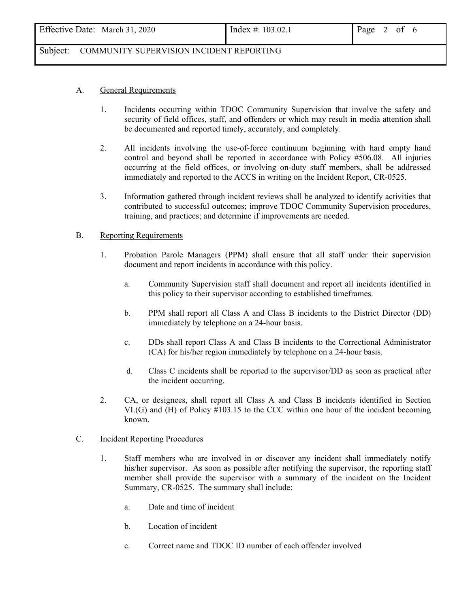| Effective Date: March 31, 2020 | Index #: $103.02.1$ | Page 2 of $6$ |  |  |  |
|--------------------------------|---------------------|---------------|--|--|--|
|--------------------------------|---------------------|---------------|--|--|--|

### A. General Requirements

- 1. Incidents occurring within TDOC Community Supervision that involve the safety and security of field offices, staff, and offenders or which may result in media attention shall be documented and reported timely, accurately, and completely.
- 2. All incidents involving the use-of-force continuum beginning with hard empty hand control and beyond shall be reported in accordance with Policy #506.08. All injuries occurring at the field offices, or involving on-duty staff members, shall be addressed immediately and reported to the ACCS in writing on the Incident Report, CR-0525.
- 3. Information gathered through incident reviews shall be analyzed to identify activities that contributed to successful outcomes; improve TDOC Community Supervision procedures, training, and practices; and determine if improvements are needed.

#### B. Reporting Requirements

- 1. Probation Parole Managers (PPM) shall ensure that all staff under their supervision document and report incidents in accordance with this policy.
	- a. Community Supervision staff shall document and report all incidents identified in this policy to their supervisor according to established timeframes.
	- b. PPM shall report all Class A and Class B incidents to the District Director (DD) immediately by telephone on a 24-hour basis.
	- c. DDs shall report Class A and Class B incidents to the Correctional Administrator (CA) for his/her region immediately by telephone on a 24-hour basis.
	- d. Class C incidents shall be reported to the supervisor/DD as soon as practical after the incident occurring.
- 2. CA, or designees, shall report all Class A and Class B incidents identified in Section VI.(G) and (H) of Policy #103.15 to the CCC within one hour of the incident becoming known.

#### C. Incident Reporting Procedures

- 1. Staff members who are involved in or discover any incident shall immediately notify his/her supervisor. As soon as possible after notifying the supervisor, the reporting staff member shall provide the supervisor with a summary of the incident on the Incident Summary, CR-0525. The summary shall include:
	- a. Date and time of incident
	- b. Location of incident
	- c. Correct name and TDOC ID number of each offender involved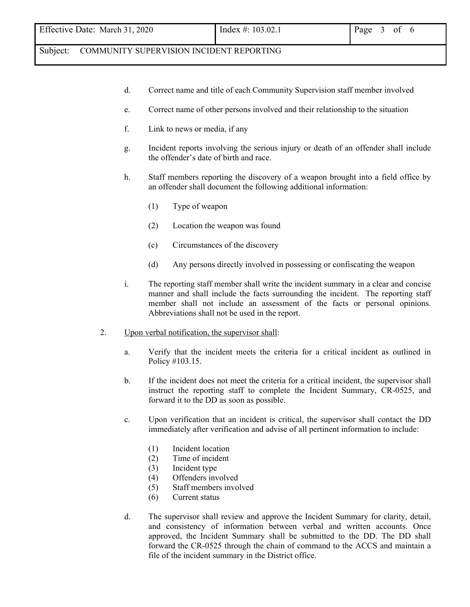- d. Correct name and title of each Community Supervision staff member involved
- e. Correct name of other persons involved and their relationship to the situation
- f. Link to news or media, if any
- g. Incident reports involving the serious injury or death of an offender shall include the offender's date of birth and race.
- h. Staff members reporting the discovery of a weapon brought into a field office by an offender shall document the following additional information:
	- (1) Type of weapon
	- (2) Location the weapon was found
	- (c) Circumstances of the discovery
	- (d) Any persons directly involved in possessing or confiscating the weapon
- i. The reporting staff member shall write the incident summary in a clear and concise manner and shall include the facts surrounding the incident. The reporting staff member shall not include an assessment of the facts or personal opinions. Abbreviations shall not be used in the report.
- 2. Upon verbal notification, the supervisor shall:
	- a. Verify that the incident meets the criteria for a critical incident as outlined in Policy #103.15.
	- b. If the incident does not meet the criteria for a critical incident, the supervisor shall instruct the reporting staff to complete the Incident Summary, CR-0525, and forward it to the DD as soon as possible.
	- c. Upon verification that an incident is critical, the supervisor shall contact the DD immediately after verification and advise of all pertinent information to include:
		- (1) Incident location
		- (2) Time of incident
		- (3) Incident type
		- (4) Offenders involved
		- (5) Staff members involved
		- (6) Current status
	- d. The supervisor shall review and approve the Incident Summary for clarity, detail, and consistency of information between verbal and written accounts. Once approved, the Incident Summary shall be submitted to the DD. The DD shall forward the CR-0525 through the chain of command to the ACCS and maintain a file of the incident summary in the District office.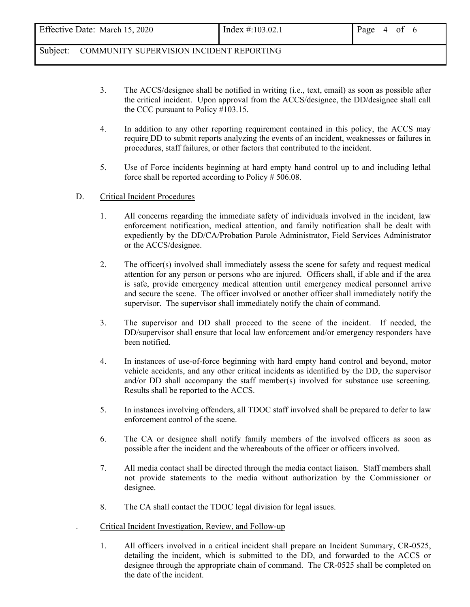- 3. The ACCS/designee shall be notified in writing (i.e., text, email) as soon as possible after the critical incident. Upon approval from the ACCS/designee, the DD/designee shall call the CCC pursuant to Policy #103.15.
- 4. In addition to any other reporting requirement contained in this policy, the ACCS may require DD to submit reports analyzing the events of an incident, weaknesses or failures in procedures, staff failures, or other factors that contributed to the incident.
- 5. Use of Force incidents beginning at hard empty hand control up to and including lethal force shall be reported according to Policy # 506.08.

### D. Critical Incident Procedures

- 1. All concerns regarding the immediate safety of individuals involved in the incident, law enforcement notification, medical attention, and family notification shall be dealt with expediently by the DD/CA/Probation Parole Administrator, Field Services Administrator or the ACCS/designee.
- 2. The officer(s) involved shall immediately assess the scene for safety and request medical attention for any person or persons who are injured. Officers shall, if able and if the area is safe, provide emergency medical attention until emergency medical personnel arrive and secure the scene. The officer involved or another officer shall immediately notify the supervisor. The supervisor shall immediately notify the chain of command.
- 3. The supervisor and DD shall proceed to the scene of the incident. If needed, the DD/supervisor shall ensure that local law enforcement and/or emergency responders have been notified.
- 4. In instances of use-of-force beginning with hard empty hand control and beyond, motor vehicle accidents, and any other critical incidents as identified by the DD, the supervisor and/or DD shall accompany the staff member(s) involved for substance use screening. Results shall be reported to the ACCS.
- 5. In instances involving offenders, all TDOC staff involved shall be prepared to defer to law enforcement control of the scene.
- 6. The CA or designee shall notify family members of the involved officers as soon as possible after the incident and the whereabouts of the officer or officers involved.
- 7. All media contact shall be directed through the media contact liaison. Staff members shall not provide statements to the media without authorization by the Commissioner or designee.
- 8. The CA shall contact the TDOC legal division for legal issues.

### . Critical Incident Investigation, Review, and Follow-up

1. All officers involved in a critical incident shall prepare an Incident Summary, CR-0525, detailing the incident, which is submitted to the DD, and forwarded to the ACCS or designee through the appropriate chain of command. The CR-0525 shall be completed on the date of the incident.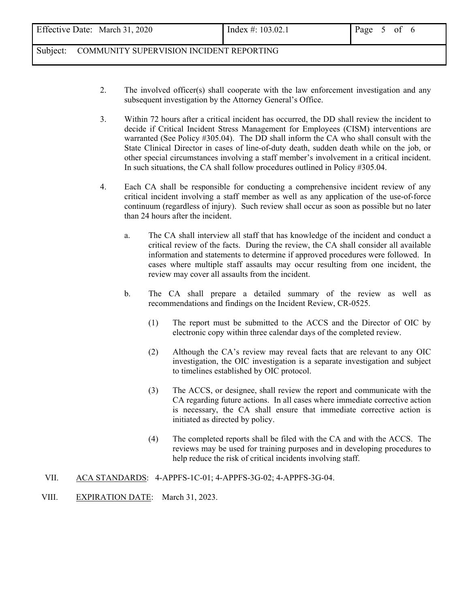- 2. The involved officer(s) shall cooperate with the law enforcement investigation and any subsequent investigation by the Attorney General's Office.
- 3. Within 72 hours after a critical incident has occurred, the DD shall review the incident to decide if Critical Incident Stress Management for Employees (CISM) interventions are warranted (See Policy #305.04). The DD shall inform the CA who shall consult with the State Clinical Director in cases of line-of-duty death, sudden death while on the job, or other special circumstances involving a staff member's involvement in a critical incident. In such situations, the CA shall follow procedures outlined in Policy #305.04.
- 4. Each CA shall be responsible for conducting a comprehensive incident review of any critical incident involving a staff member as well as any application of the use-of-force continuum (regardless of injury). Such review shall occur as soon as possible but no later than 24 hours after the incident.
	- a. The CA shall interview all staff that has knowledge of the incident and conduct a critical review of the facts. During the review, the CA shall consider all available information and statements to determine if approved procedures were followed. In cases where multiple staff assaults may occur resulting from one incident, the review may cover all assaults from the incident.
	- b. The CA shall prepare a detailed summary of the review as well as recommendations and findings on the Incident Review, CR-0525.
		- (1) The report must be submitted to the ACCS and the Director of OIC by electronic copy within three calendar days of the completed review.
		- (2) Although the CA's review may reveal facts that are relevant to any OIC investigation, the OIC investigation is a separate investigation and subject to timelines established by OIC protocol.
		- (3) The ACCS, or designee, shall review the report and communicate with the CA regarding future actions. In all cases where immediate corrective action is necessary, the CA shall ensure that immediate corrective action is initiated as directed by policy.
		- (4) The completed reports shall be filed with the CA and with the ACCS. The reviews may be used for training purposes and in developing procedures to help reduce the risk of critical incidents involving staff.
- VII. ACA STANDARDS: 4-APPFS-1C-01; 4-APPFS-3G-02; 4-APPFS-3G-04.
- VIII. EXPIRATION DATE: March 31, 2023.